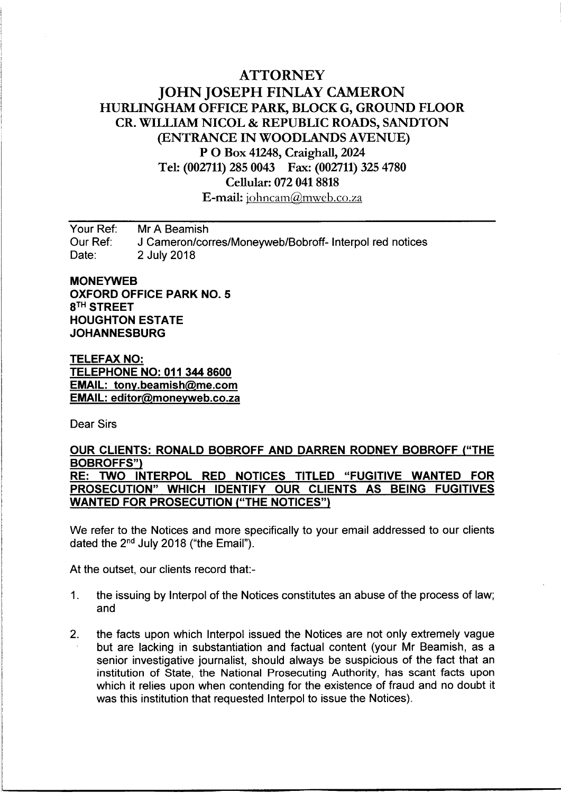## **ATTORNEY JOHN JOSEPH FINLAY CAMERON** HURLINGHAM OFFICE PARK, BLOCK G, GROUND FLOOR CR. WILLIAM NICOL & REPUBLIC ROADS, SANDTON (ENTRANCE IN WOODLANDS AVENUE) P O Box 41248, Craighall, 2024 Tel: (002711) 285 0043 Fax: (002711) 325 4780 Cellular: 072 041 8818 E-mail: johncam@mweb.co.2a

Your Ref: Mr A Beamish<br>Our Ref: J Cameron/cor Our Ref: J Cameron/corres/Moneyweb/Bobroff- Interpol red notices<br>Date: 2 July 2018 **The Team**<br>The Team<br>Date: 2 July 2018<br>Date: 2 July 2018

MONEYWEB OXFORD OFFICE PARK NO. 5 8th STREET HOUGHTON ESTATE **JOHANNESBURG** 

TELEFAX NO: TELEPHONE NO: 011 344 8600 EMAIL: tony.beamish@me.com EMAIL: editor@moneyweb.co.za

Dear Sirs

## OUR CLIENTS: RONALD BOBROFF AND DARREN RODNEY BOBROFF ("THE BOBROFFS") RE: TWO INTERPOL RED NOTICES TITLED "FUGITIVE WANTED FOR PROSECUTION" WHICH IDENTIFY OUR CLIENTS AS BEING FUGITIVES WANTED FOR PROSECUTION ("THE NOTICES")

We refer to the Notices and more specifically to your email addressed to our clients dated the 2nd July 2018 ("the Email").

At the outset, our clients record that:-

- 1. the issuing by Interpol of the Notices constitutes an abuse of the process of law; and
- 2. the facts upon which Interpol issued the Notices are not only extremely vague but are lacking in substantiation and factual content (your Mr Beamish, as a senior investigative journalist, should always be suspicious of the fact that an institution of State, the National Prosecuting Authority, has scant facts upon which it relies upon when contending for the existence of fraud and no doubt it was this institution that requested Interpol to issue the Notices).